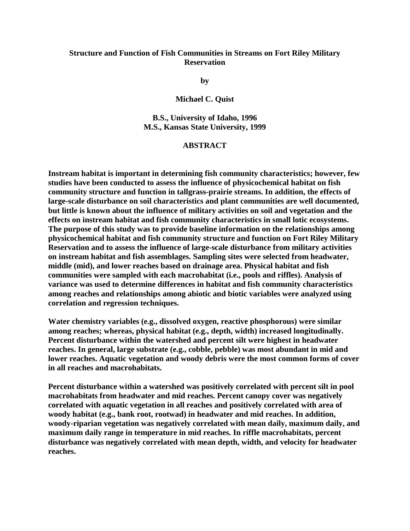## **Structure and Function of Fish Communities in Streams on Fort Riley Military Reservation**

**by**

**Michael C. Quist**

**B.S., University of Idaho, 1996 M.S., Kansas State University, 1999** 

## **ABSTRACT**

**Instream habitat is important in determining fish community characteristics; however, few studies have been conducted to assess the influence of physicochemical habitat on fish community structure and function in tallgrass-prairie streams. In addition, the effects of large-scale disturbance on soil characteristics and plant communities are well documented, but little is known about the influence of military activities on soil and vegetation and the effects on instream habitat and fish community characteristics in small lotic ecosystems. The purpose of this study was to provide baseline information on the relationships among physicochemical habitat and fish community structure and function on Fort Riley Military Reservation and to assess the influence of large-scale disturbance from military activities on instream habitat and fish assemblages. Sampling sites were selected from headwater, middle (mid), and lower reaches based on drainage area. Physical habitat and fish communities were sampled with each macrohabitat (i.e., pools and riffles). Analysis of variance was used to determine differences in habitat and fish community characteristics among reaches and relationships among abiotic and biotic variables were analyzed using correlation and regression techniques.**

**Water chemistry variables (e.g., dissolved oxygen, reactive phosphorous) were similar among reaches; whereas, physical habitat (e.g., depth, width) increased longitudinally. Percent disturbance within the watershed and percent silt were highest in headwater reaches. In general, large substrate (e.g., cobble, pebble) was most abundant in mid and lower reaches. Aquatic vegetation and woody debris were the most common forms of cover in all reaches and macrohabitats.**

**Percent disturbance within a watershed was positively correlated with percent silt in pool macrohabitats from headwater and mid reaches. Percent canopy cover was negatively correlated with aquatic vegetation in all reaches and positively correlated with area of woody habitat (e.g., bank root, rootwad) in headwater and mid reaches. In addition, woody-riparian vegetation was negatively correlated with mean daily, maximum daily, and maximum daily range in temperature in mid reaches. In riffle macrohabitats, percent disturbance was negatively correlated with mean depth, width, and velocity for headwater reaches.**